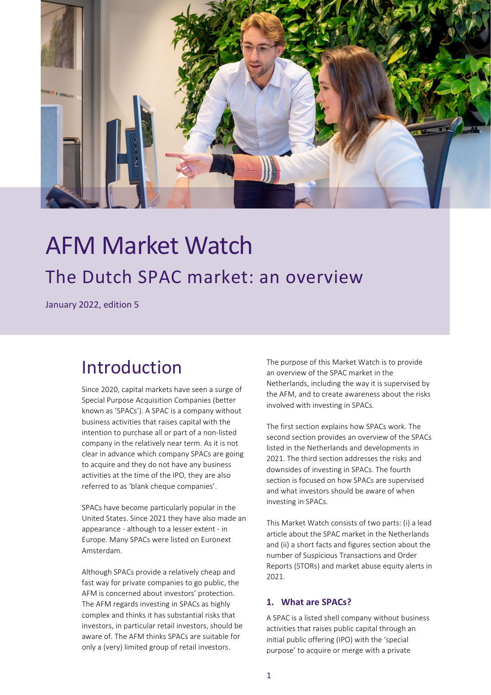

# AFM Market Watch The Dutch SPAC market: an overview

January 2022, edition 5

# Introduction

Since 2020, capital markets have seen a surge of Special Purpose Acquisition Companies (better known as 'SPACs'). A SPAC is a company without business activities that raises capital with the intention to purchase all or part of a non-listed company in the relatively near term. As it is not clear in advance which company SPACs are going to acquire and they do not have any business activities at the time of the IPO, they are also referred to as 'blank cheque companies'.

SPACs have become particularly popular in the United States. Since 2021 they have also made an appearance - although to a lesser extent - in Europe. Many SPACs were listed on Euronext Amsterdam.

Although SPACs provide a relatively cheap and fast way for private companies to go public, the AFM is concerned about investors' protection. The AFM regards investing in SPACs as highly complex and thinks it has substantial risks that investors, in particular retail investors, should be aware of. The AFM thinks SPACs are suitable for only a (very) limited group of retail investors.

The purpose of this Market Watch is to provide an overview of the SPAC market in the Netherlands, including the way it is supervised by the AFM, and to create awareness about the risks involved with investing in SPACs.

The first section explains how SPACs work. The second section provides an overview of the SPACs listed in the Netherlands and developments in 2021. The third section addresses the risks and downsides of investing in SPACs. The fourth section is focused on how SPACs are supervised and what investors should be aware of when investing in SPACs.

This Market Watch consists of two parts: (i) a lead article about the SPAC market in the Netherlands and (ii) a short facts and figures section about the number of Suspicious Transactions and Order Reports (STORs) and market abuse equity alerts in 2021.

## **1. What are SPACs?**

A SPAC is a listed shell company without business activities that raises public capital through an initial public offering (IPO) with the 'special purpose' to acquire or merge with a private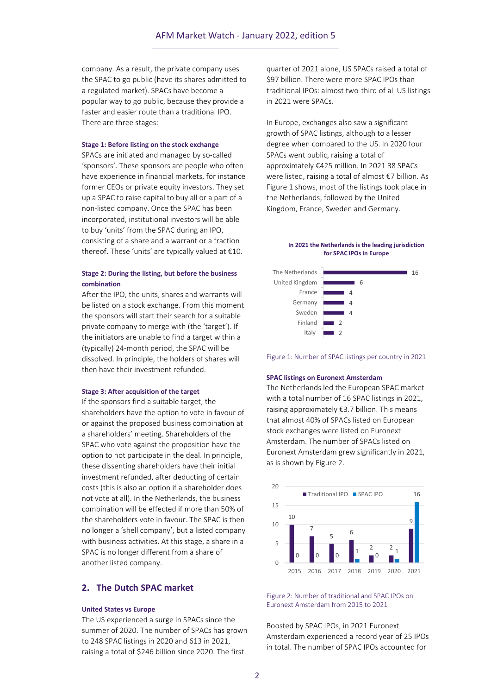company. As a result, the private company uses the SPAC to go public (have its shares admitted to a regulated market). SPACs have become a popular way to go public, because they provide a faster and easier route than a traditional IPO. There are three stages:

#### **Stage 1: Before listing on the stock exchange**

SPACs are initiated and managed by so-called 'sponsors'. These sponsors are people who often have experience in financial markets, for instance former CEOs or private equity investors. They set up a SPAC to raise capital to buy all or a part of a non-listed company. Once the SPAC has been incorporated, institutional investors will be able to buy 'units' from the SPAC during an IPO, consisting of a share and a warrant or a fraction thereof. These 'units' are typically valued at €10.

#### **Stage 2: During the listing, but before the business combination**

After the IPO, the units, shares and warrants will be listed on a stock exchange. From this moment the sponsors will start their search for a suitable private company to merge with (the 'target'). If the initiators are unable to find a target within a (typically) 24-month period, the SPAC will be dissolved. In principle, the holders of shares will then have their investment refunded.

#### **Stage 3: After acquisition of the target**

If the sponsors find a suitable target, the shareholders have the option to vote in favour of or against the proposed business combination at a shareholders' meeting. Shareholders of the SPAC who vote against the proposition have the option to not participate in the deal. In principle, these dissenting shareholders have their initial investment refunded, after deducting of certain costs (this is also an option if a shareholder does not vote at all). In the Netherlands, the business combination will be effected if more than 50% of the shareholders vote in favour. The SPAC is then no longer a 'shell company', but a listed company with business activities. At this stage, a share in a SPAC is no longer different from a share of another listed company.

#### **2. The Dutch SPAC market**

#### **United States vs Europe**

The US experienced a surge in SPACs since the summer of 2020. The number of SPACs has grown to 248 SPAC listings in 2020 and 613 in 2021, raising a total of \$246 billion since 2020. The first

quarter of 2021 alone, US SPACs raised a total of \$97 billion. There were more SPAC IPOs than traditional IPOs: almost two-third of all US listings in 2021 were SPACs.

In Europe, exchanges also saw a significant growth of SPAC listings, although to a lesser degree when compared to the US. In 2020 four SPACs went public, raising a total of approximately €425 million. In 2021 38 SPACs were listed, raising a total of almost €7 billion. As Figure 1 shows, most of the listings took place in the Netherlands, followed by the United Kingdom, France, Sweden and Germany.

#### **In 2021 the Netherlands is the leading jurisdiction for SPAC IPOs in Europe**



Figure 1: Number of SPAC listings per country in 2021

#### **SPAC listings on Euronext Amsterdam**

The Netherlands led the European SPAC market with a total number of 16 SPAC listings in 2021, raising approximately €3.7 billion. This means that almost 40% of SPACs listed on European stock exchanges were listed on Euronext Amsterdam. The number of SPACs listed on Euronext Amsterdam grew significantly in 2021, as is shown by Figure 2.



Figure 2: Number of traditional and SPAC IPOs on Euronext Amsterdam from 2015 to 2021

Boosted by SPAC IPOs, in 2021 Euronext Amsterdam experienced a record year of 25 IPOs in total. The number of SPAC IPOs accounted for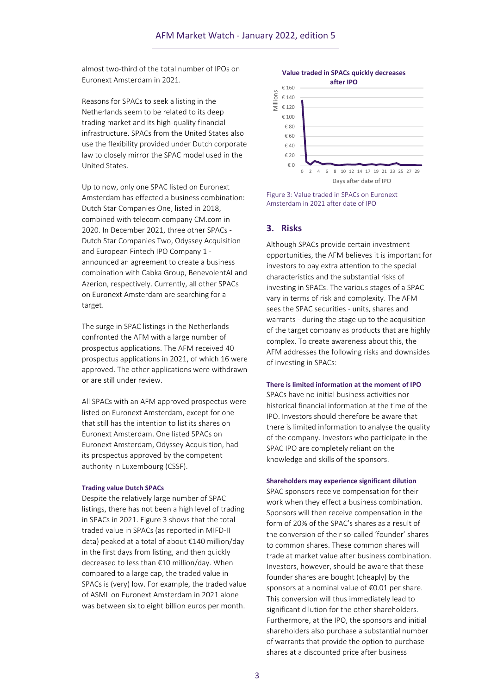almost two-third of the total number of IPOs on Euronext Amsterdam in 2021.

Reasons for SPACs to seek a listing in the Netherlands seem to be related to its deep trading market and its high-quality financial infrastructure. SPACs from the United States also use the flexibility provided under Dutch corporate law to closely mirror the SPAC model used in the United States.

Up to now, only one SPAC listed on Euronext Amsterdam has effected a business combination: Dutch Star Companies One, listed in 2018, combined with telecom company CM.com in 2020. In December 2021, three other SPACs - Dutch Star Companies Two, Odyssey Acquisition and European Fintech IPO Company 1 announced an agreement to create a business combination with Cabka Group, BenevolentAI and Azerion, respectively. Currently, all other SPACs on Euronext Amsterdam are searching for a target.

The surge in SPAC listings in the Netherlands confronted the AFM with a large number of prospectus applications. The AFM received 40 prospectus applications in 2021, of which 16 were approved. The other applications were withdrawn or are still under review.

All SPACs with an AFM approved prospectus were listed on Euronext Amsterdam, except for one that still has the intention to list its shares on Euronext Amsterdam. One listed SPACs on Euronext Amsterdam, Odyssey Acquisition, had its prospectus approved by the competent authority in Luxembourg (CSSF).

#### **Trading value Dutch SPACs**

Despite the relatively large number of SPAC listings, there has not been a high level of trading in SPACs in 2021. Figure 3 shows that the total traded value in SPACs (as reported in MIFD-II data) peaked at a total of about €140 million/day in the first days from listing, and then quickly decreased to less than €10 million/day. When compared to a large cap, the traded value in SPACs is (very) low. For example, the traded value of ASML on Euronext Amsterdam in 2021 alone was between six to eight billion euros per month.



Figure 3: Value traded in SPACs on Euronext Amsterdam in 2021 after date of IPO

#### **3. Risks**

Although SPACs provide certain investment opportunities, the AFM believes it is important for investors to pay extra attention to the special characteristics and the substantial risks of investing in SPACs. The various stages of a SPAC vary in terms of risk and complexity. The AFM sees the SPAC securities - units, shares and warrants - during the stage up to the acquisition of the target company as products that are highly complex. To create awareness about this, the AFM addresses the following risks and downsides of investing in SPACs:

#### **There is limited information at the moment of IPO**

SPACs have no initial business activities nor historical financial information at the time of the IPO. Investors should therefore be aware that there is limited information to analyse the quality of the company. Investors who participate in the SPAC IPO are completely reliant on the knowledge and skills of the sponsors.

#### **Shareholders may experience significant dilution**

SPAC sponsors receive compensation for their work when they effect a business combination. Sponsors will then receive compensation in the form of 20% of the SPAC's shares as a result of the conversion of their so-called 'founder' shares to common shares. These common shares will trade at market value after business combination. Investors, however, should be aware that these founder shares are bought (cheaply) by the sponsors at a nominal value of €0.01 per share. This conversion will thus immediately lead to significant dilution for the other shareholders. Furthermore, at the IPO, the sponsors and initial shareholders also purchase a substantial number of warrants that provide the option to purchase shares at a discounted price after business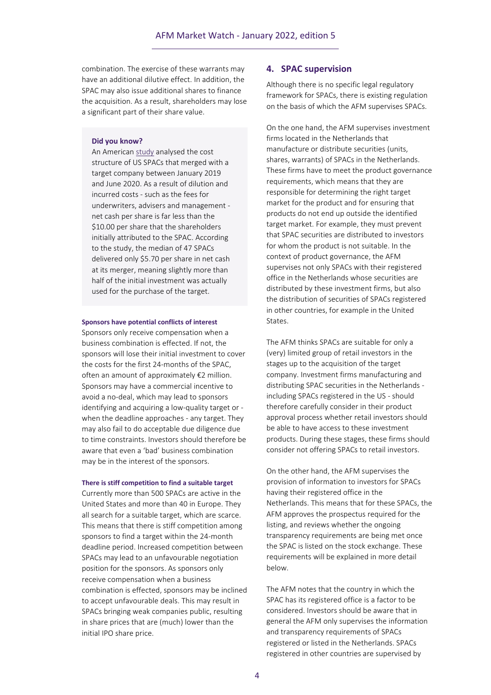combination. The exercise of these warrants may have an additional dilutive effect. In addition, the SPAC may also issue additional shares to finance the acquisition. As a result, shareholders may lose a significant part of their share value.

#### **Did you know?**

An American [study](https://papers.ssrn.com/sol3/papers.cfm?abstract_id=3720919) analysed the cost structure of US SPACs that merged with a target company between January 2019 and June 2020. As a result of dilution and incurred costs - such as the fees for underwriters, advisers and management net cash per share is far less than the \$10.00 per share that the shareholders initially attributed to the SPAC. According to the study, the median of 47 SPACs delivered only \$5.70 per share in net cash at its merger, meaning slightly more than half of the initial investment was actually used for the purchase of the target.

#### **Sponsors have potential conflicts of interest**

Sponsors only receive compensation when a business combination is effected. If not, the sponsors will lose their initial investment to cover the costs for the first 24-months of the SPAC, often an amount of approximately €2 million. Sponsors may have a commercial incentive to avoid a no-deal, which may lead to sponsors identifying and acquiring a low-quality target or when the deadline approaches - any target. They may also fail to do acceptable due diligence due to time constraints. Investors should therefore be aware that even a 'bad' business combination may be in the interest of the sponsors.

#### **There is stiff competition to find a suitable target**

Currently more than 500 SPACs are active in the United States and more than 40 in Europe. They all search for a suitable target, which are scarce. This means that there is stiff competition among sponsors to find a target within the 24-month deadline period. Increased competition between SPACs may lead to an unfavourable negotiation position for the sponsors. As sponsors only receive compensation when a business combination is effected, sponsors may be inclined to accept unfavourable deals. This may result in SPACs bringing weak companies public, resulting in share prices that are (much) lower than the initial IPO share price.

#### **4. SPAC supervision**

Although there is no specific legal regulatory framework for SPACs, there is existing regulation on the basis of which the AFM supervises SPACs.

On the one hand, the AFM supervises investment firms located in the Netherlands that manufacture or distribute securities (units, shares, warrants) of SPACs in the Netherlands. These firms have to meet the product governance requirements, which means that they are responsible for determining the right target market for the product and for ensuring that products do not end up outside the identified target market. For example, they must prevent that SPAC securities are distributed to investors for whom the product is not suitable. In the context of product governance, the AFM supervises not only SPACs with their registered office in the Netherlands whose securities are distributed by these investment firms, but also the distribution of securities of SPACs registered in other countries, for example in the United States.

The AFM thinks SPACs are suitable for only a (very) limited group of retail investors in the stages up to the acquisition of the target company. Investment firms manufacturing and distributing SPAC securities in the Netherlands including SPACs registered in the US - should therefore carefully consider in their product approval process whether retail investors should be able to have access to these investment products. During these stages, these firms should consider not offering SPACs to retail investors.

On the other hand, the AFM supervises the provision of information to investors for SPACs having their registered office in the Netherlands. This means that for these SPACs, the AFM approves the prospectus required for the listing, and reviews whether the ongoing transparency requirements are being met once the SPAC is listed on the stock exchange. These requirements will be explained in more detail below.

The AFM notes that the country in which the SPAC has its registered office is a factor to be considered. Investors should be aware that in general the AFM only supervises the information and transparency requirements of SPACs registered or listed in the Netherlands. SPACs registered in other countries are supervised by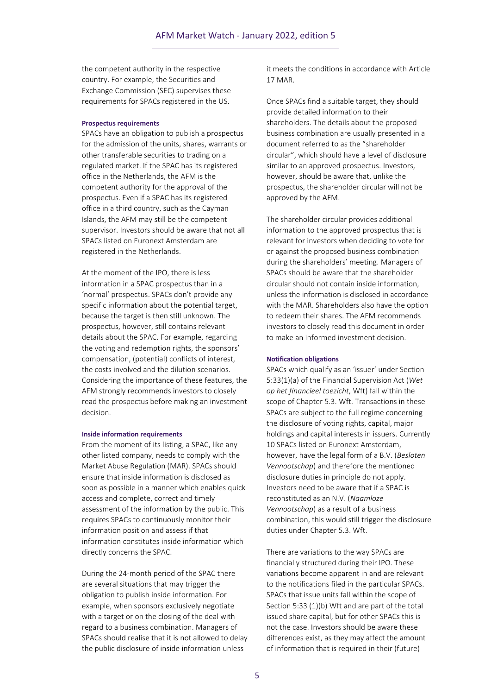the competent authority in the respective country. For example, the Securities and Exchange Commission (SEC) supervises these requirements for SPACs registered in the US.

#### **Prospectus requirements**

SPACs have an obligation to publish a prospectus for the admission of the units, shares, warrants or other transferable securities to trading on a regulated market. If the SPAC has its registered office in the Netherlands, the AFM is the competent authority for the approval of the prospectus. Even if a SPAC has its registered office in a third country, such as the Cayman Islands, the AFM may still be the competent supervisor. Investors should be aware that not all SPACs listed on Euronext Amsterdam are registered in the Netherlands.

At the moment of the IPO, there is less information in a SPAC prospectus than in a 'normal' prospectus. SPACs don't provide any specific information about the potential target, because the target is then still unknown. The prospectus, however, still contains relevant details about the SPAC. For example, regarding the voting and redemption rights, the sponsors' compensation, (potential) conflicts of interest, the costs involved and the dilution scenarios. Considering the importance of these features, the AFM strongly recommends investors to closely read the prospectus before making an investment decision.

#### **Inside information requirements**

From the moment of its listing, a SPAC, like any other listed company, needs to comply with the Market Abuse Regulation (MAR). SPACs should ensure that inside information is disclosed as soon as possible in a manner which enables quick access and complete, correct and timely assessment of the information by the public. This requires SPACs to continuously monitor their information position and assess if that information constitutes inside information which directly concerns the SPAC.

During the 24-month period of the SPAC there are several situations that may trigger the obligation to publish inside information. For example, when sponsors exclusively negotiate with a target or on the closing of the deal with regard to a business combination. Managers of SPACs should realise that it is not allowed to delay the public disclosure of inside information unless

it meets the conditions in accordance with Article 17 MAR.

Once SPACs find a suitable target, they should provide detailed information to their shareholders. The details about the proposed business combination are usually presented in a document referred to as the "shareholder circular", which should have a level of disclosure similar to an approved prospectus. Investors, however, should be aware that, unlike the prospectus, the shareholder circular will not be approved by the AFM.

The shareholder circular provides additional information to the approved prospectus that is relevant for investors when deciding to vote for or against the proposed business combination during the shareholders' meeting. Managers of SPACs should be aware that the shareholder circular should not contain inside information, unless the information is disclosed in accordance with the MAR. Shareholders also have the option to redeem their shares. The AFM recommends investors to closely read this document in order to make an informed investment decision.

#### **Notification obligations**

SPACs which qualify as an 'issuer' under Section 5:33(1)(a) of the Financial Supervision Act (*Wet op het financieel toezicht*, Wft) fall within the scope of Chapter 5.3. Wft. Transactions in these SPACs are subject to the full regime concerning the disclosure of voting rights, capital, major holdings and capital interests in issuers. Currently 10 SPACs listed on Euronext Amsterdam, however, have the legal form of a B.V. (*Besloten Vennootschap*) and therefore the mentioned disclosure duties in principle do not apply. Investors need to be aware that if a SPAC is reconstituted as an N.V. (*Naamloze Vennootschap*) as a result of a business combination, this would still trigger the disclosure duties under Chapter 5.3. Wft.

There are variations to the way SPACs are financially structured during their IPO. These variations become apparent in and are relevant to the notifications filed in the particular SPACs. SPACs that issue units fall within the scope of Section 5:33 (1)(b) Wft and are part of the total issued share capital, but for other SPACs this is not the case. Investors should be aware these differences exist, as they may affect the amount of information that is required in their (future)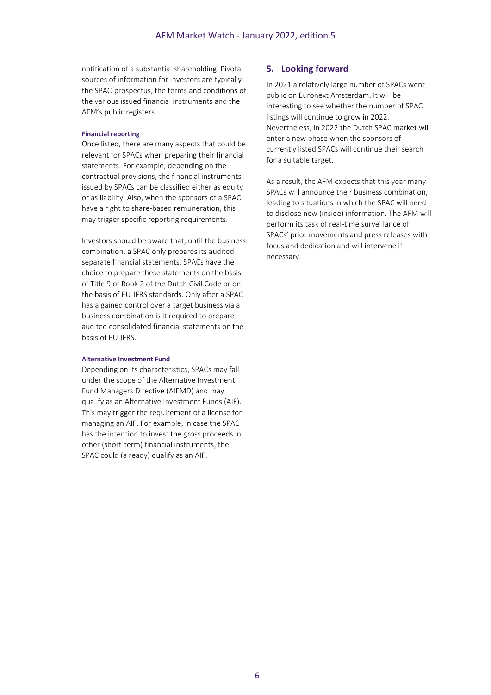notification of a substantial shareholding. Pivotal sources of information for investors are typically the SPAC-prospectus, the terms and conditions of the various issued financial instruments and the AFM's public registers.

#### **Financial reporting**

Once listed, there are many aspects that could be relevant for SPACs when preparing their financial statements. For example, depending on the contractual provisions, the financial instruments issued by SPACs can be classified either as equity or as liability. Also, when the sponsors of a SPAC have a right to share-based remuneration, this may trigger specific reporting requirements.

Investors should be aware that, until the business combination, a SPAC only prepares its audited separate financial statements. SPACs have the choice to prepare these statements on the basis of Title 9 of Book 2 of the Dutch Civil Code or on the basis of EU-IFRS standards. Only after a SPAC has a gained control over a target business via a business combination is it required to prepare audited consolidated financial statements on the basis of EU-IFRS.

#### **Alternative Investment Fund**

Depending on its characteristics, SPACs may fall under the scope of the Alternative Investment Fund Managers Directive (AIFMD) and may qualify as an Alternative Investment Funds (AIF). This may trigger the requirement of a license for managing an AIF. For example, in case the SPAC has the intention to invest the gross proceeds in other (short-term) financial instruments, the SPAC could (already) qualify as an AIF.

#### **5. Looking forward**

In 2021 a relatively large number of SPACs went public on Euronext Amsterdam. It will be interesting to see whether the number of SPAC listings will continue to grow in 2022. Nevertheless, in 2022 the Dutch SPAC market will enter a new phase when the sponsors of currently listed SPACs will continue their search for a suitable target.

As a result, the AFM expects that this year many SPACs will announce their business combination, leading to situations in which the SPAC will need to disclose new (inside) information. The AFM will perform its task of real-time surveillance of SPACs' price movements and press releases with focus and dedication and will intervene if necessary.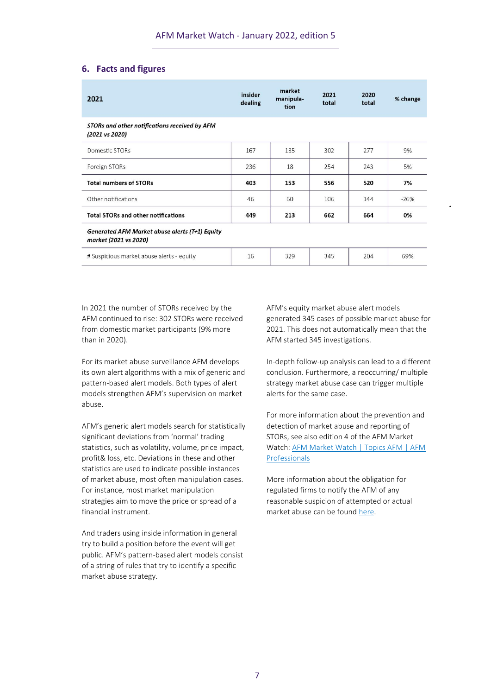## **6. Facts and figures**

| 2021                                                                           | insider<br>dealing | market<br>manipula-<br>tion | 2021<br>total | 2020<br>total | % change |
|--------------------------------------------------------------------------------|--------------------|-----------------------------|---------------|---------------|----------|
| STORs and other notifications received by AFM<br>(2021 vs 2020)                |                    |                             |               |               |          |
| Domestic STORs                                                                 | 167                | 135                         | 302           | 277           | 9%       |
| Foreign STORs                                                                  | 236                | 18                          | 254           | 243           | 5%       |
| <b>Total numbers of STORs</b>                                                  | 403                | 153                         | 556           | 520           | 7%       |
| Other notifications                                                            | 46                 | 60                          | 106           | 144           | $-26%$   |
| <b>Total STORs and other notifications</b>                                     | 449                | 213                         | 662           | 664           | 0%       |
| <b>Generated AFM Market abuse alerts (T+1) Equity</b><br>market (2021 vs 2020) |                    |                             |               |               |          |
| # Suspicious market abuse alerts - equity                                      | 16                 | 329                         | 345           | 204           | 69%      |

In 2021 the number of STORs received by the AFM continued to rise: 302 STORs were received from domestic market participants (9% more than in 2020).

For its market abuse surveillance AFM develops its own alert algorithms with a mix of generic and pattern-based alert models. Both types of alert models strengthen AFM's supervision on market abuse.

AFM's generic alert models search for statistically significant deviations from 'normal' trading statistics, such as volatility, volume, price impact, profit& loss, etc. Deviations in these and other statistics are used to indicate possible instances of market abuse, most often manipulation cases. For instance, most market manipulation strategies aim to move the price or spread of a financial instrument.

And traders using inside information in general try to build a position before the event will get public. AFM's pattern-based alert models consist of a string of rules that try to identify a specific market abuse strategy.

AFM's equity market abuse alert models generated 345 cases of possible market abuse for 2021. This does not automatically mean that the AFM started 345 investigations.

In-depth follow-up analysis can lead to a different conclusion. Furthermore, a reoccurring/ multiple strategy market abuse case can trigger multiple alerts for the same case.

For more information about the prevention and detection of market abuse and reporting of STORs, see also edition 4 of the AFM Market Watch: [AFM Market Watch | Topics AFM | AFM](https://www.afm.nl/en/professionals/onderwerpen/afm-market-watch)  [Professionals](https://www.afm.nl/en/professionals/onderwerpen/afm-market-watch)

More information about the obligation for regulated firms to notify the AFM of any reasonable suspicion of attempted or actual market abuse can be found [here.](https://www.afm.nl/en/professionals/onderwerpen/marktmisbruik/meldingsplicht)